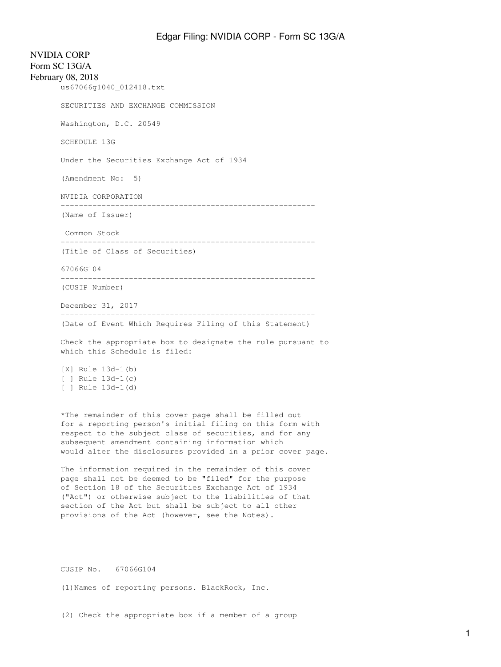NVIDIA CORP Form SC 13G/A February 08, 2018 us67066g1040\_012418.txt SECURITIES AND EXCHANGE COMMISSION Washington, D.C. 20549 SCHEDULE 13G Under the Securities Exchange Act of 1934 (Amendment No: 5) NVIDIA CORPORATION -------------------------------------------------------- (Name of Issuer) Common Stock -------------------------------------------------------- (Title of Class of Securities) 67066G104 -------------------------------------------------------- (CUSIP Number) December 31, 2017 -------------------------------------------------------- (Date of Event Which Requires Filing of this Statement) Check the appropriate box to designate the rule pursuant to which this Schedule is filed: [X] Rule 13d-1(b) [ ] Rule 13d-1(c) [ ] Rule 13d-1(d) \*The remainder of this cover page shall be filled out for a reporting person's initial filing on this form with respect to the subject class of securities, and for any subsequent amendment containing information which would alter the disclosures provided in a prior cover page. The information required in the remainder of this cover

page shall not be deemed to be "filed" for the purpose of Section 18 of the Securities Exchange Act of 1934 ("Act") or otherwise subject to the liabilities of that section of the Act but shall be subject to all other provisions of the Act (however, see the Notes).

CUSIP No. 67066G104

(1)Names of reporting persons. BlackRock, Inc.

(2) Check the appropriate box if a member of a group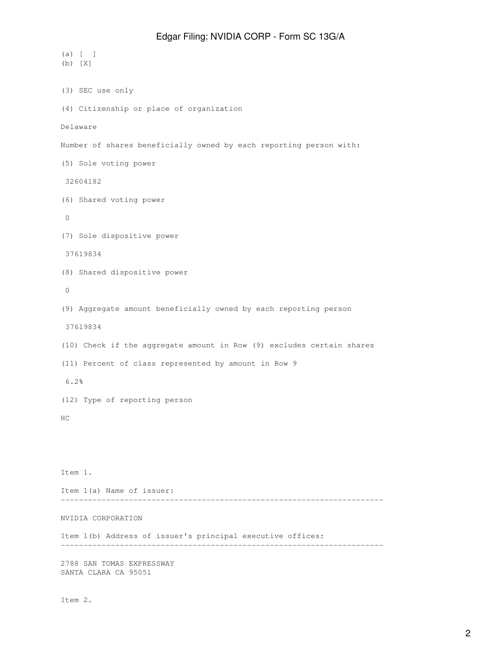```
(a) [ ]
(b) [X]
(3) SEC use only
(4) Citizenship or place of organization
Delaware
Number of shares beneficially owned by each reporting person with:
(5) Sole voting power
 32604182
(6) Shared voting power
 0
(7) Sole dispositive power
 37619834
(8) Shared dispositive power
 0
(9) Aggregate amount beneficially owned by each reporting person
 37619834
(10) Check if the aggregate amount in Row (9) excludes certain shares
(11) Percent of class represented by amount in Row 9
 6.2%
(12) Type of reporting person
HC
Item 1.
Item 1(a) Name of issuer:
-----------------------------------------------------------------------
NVIDIA CORPORATION
Item 1(b) Address of issuer's principal executive offices:
-----------------------------------------------------------------------
2788 SAN TOMAS EXPRESSWAY
SANTA CLARA CA 95051
```
Item 2.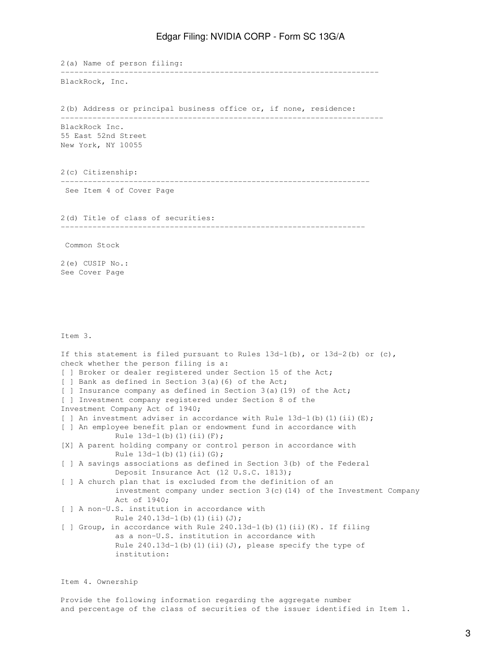2(a) Name of person filing: ---------------------------------------------------------------------- BlackRock, Inc. 2(b) Address or principal business office or, if none, residence: ----------------------------------------------------------------------- BlackRock Inc. 55 East 52nd Street New York, NY 10055 2(c) Citizenship: -------------------------------------------------------------------- See Item 4 of Cover Page 2(d) Title of class of securities: ------------------------------------------------------------------- Common Stock 2(e) CUSIP No.: See Cover Page Item 3. If this statement is filed pursuant to Rules  $13d-1(b)$ , or  $13d-2(b)$  or  $(c)$ , check whether the person filing is a: [ ] Broker or dealer registered under Section 15 of the Act; [ ] Bank as defined in Section 3(a)(6) of the Act; [ ] Insurance company as defined in Section 3(a)(19) of the Act; [ ] Investment company registered under Section 8 of the Investment Company Act of 1940; [ ] An investment adviser in accordance with Rule  $13d-1$  (b) (1) (ii) (E); [ ] An employee benefit plan or endowment fund in accordance with Rule  $13d-1(b)$  (1)(ii)(F); [X] A parent holding company or control person in accordance with Rule  $13d-1(b)$  (1)(ii)(G); [ ] A savings associations as defined in Section 3(b) of the Federal Deposit Insurance Act (12 U.S.C. 1813); [ ] A church plan that is excluded from the definition of an investment company under section 3(c)(14) of the Investment Company Act of 1940; [ ] A non-U.S. institution in accordance with Rule  $240.13d-1(b)(1)(ii)(J);$ [ ] Group, in accordance with Rule 240.13d-1(b)(1)(ii)(K). If filing as a non-U.S. institution in accordance with Rule  $240.13d-1$ (b)(1)(ii)(J), please specify the type of institution:

Item 4. Ownership

Provide the following information regarding the aggregate number and percentage of the class of securities of the issuer identified in Item 1.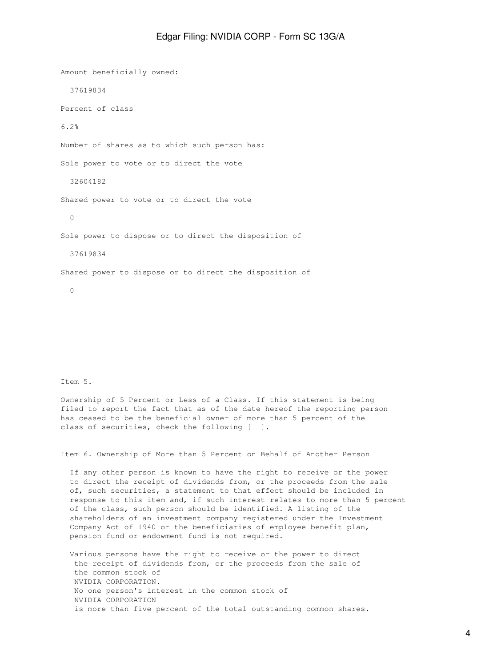Amount beneficially owned: 37619834 Percent of class 6.2% Number of shares as to which such person has: Sole power to vote or to direct the vote 32604182 Shared power to vote or to direct the vote 0 Sole power to dispose or to direct the disposition of 37619834 Shared power to dispose or to direct the disposition of 0

Item 5.

Ownership of 5 Percent or Less of a Class. If this statement is being filed to report the fact that as of the date hereof the reporting person has ceased to be the beneficial owner of more than 5 percent of the class of securities, check the following [ ].

Item 6. Ownership of More than 5 Percent on Behalf of Another Person

 If any other person is known to have the right to receive or the power to direct the receipt of dividends from, or the proceeds from the sale of, such securities, a statement to that effect should be included in response to this item and, if such interest relates to more than 5 percent of the class, such person should be identified. A listing of the shareholders of an investment company registered under the Investment Company Act of 1940 or the beneficiaries of employee benefit plan, pension fund or endowment fund is not required.

 Various persons have the right to receive or the power to direct the receipt of dividends from, or the proceeds from the sale of the common stock of NVIDIA CORPORATION. No one person's interest in the common stock of NVIDIA CORPORATION is more than five percent of the total outstanding common shares.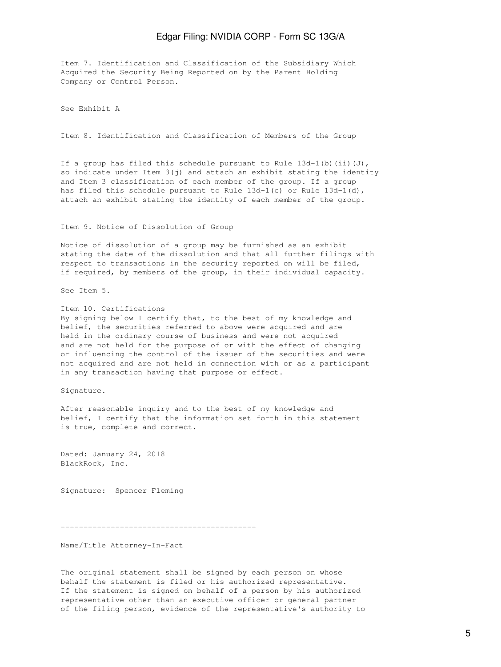Item 7. Identification and Classification of the Subsidiary Which Acquired the Security Being Reported on by the Parent Holding Company or Control Person.

See Exhibit A

Item 8. Identification and Classification of Members of the Group

If a group has filed this schedule pursuant to Rule  $13d-1$  (b) (ii)(J), so indicate under Item  $3(j)$  and attach an exhibit stating the identity and Item 3 classification of each member of the group. If a group has filed this schedule pursuant to Rule 13d-1(c) or Rule 13d-1(d), attach an exhibit stating the identity of each member of the group.

Item 9. Notice of Dissolution of Group

Notice of dissolution of a group may be furnished as an exhibit stating the date of the dissolution and that all further filings with respect to transactions in the security reported on will be filed, if required, by members of the group, in their individual capacity.

See Item 5.

Item 10. Certifications By signing below I certify that, to the best of my knowledge and belief, the securities referred to above were acquired and are held in the ordinary course of business and were not acquired and are not held for the purpose of or with the effect of changing or influencing the control of the issuer of the securities and were not acquired and are not held in connection with or as a participant in any transaction having that purpose or effect.

Signature.

After reasonable inquiry and to the best of my knowledge and belief, I certify that the information set forth in this statement is true, complete and correct.

Dated: January 24, 2018 BlackRock, Inc.

Signature: Spencer Fleming

-------------------------------------------

Name/Title Attorney-In-Fact

The original statement shall be signed by each person on whose behalf the statement is filed or his authorized representative. If the statement is signed on behalf of a person by his authorized representative other than an executive officer or general partner of the filing person, evidence of the representative's authority to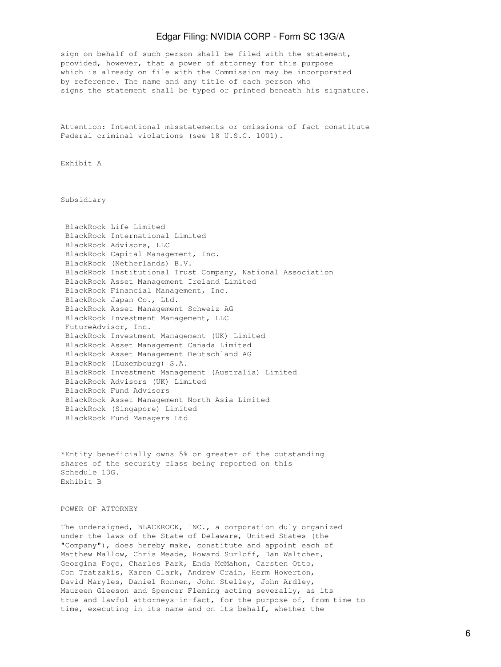sign on behalf of such person shall be filed with the statement, provided, however, that a power of attorney for this purpose which is already on file with the Commission may be incorporated by reference. The name and any title of each person who signs the statement shall be typed or printed beneath his signature.

Attention: Intentional misstatements or omissions of fact constitute Federal criminal violations (see 18 U.S.C. 1001).

Exhibit A

Subsidiary

| BlackRock Life Limited                                      |
|-------------------------------------------------------------|
| BlackRock International Limited                             |
| BlackRock Advisors, LLC                                     |
| BlackRock Capital Management, Inc.                          |
| BlackRock (Netherlands) B.V.                                |
| BlackRock Institutional Trust Company, National Association |
| BlackRock Asset Management Ireland Limited                  |
| BlackRock Financial Management, Inc.                        |
| BlackRock Japan Co., Ltd.                                   |
| BlackRock Asset Management Schweiz AG                       |
| BlackRock Investment Management, LLC                        |
| FutureAdvisor, Inc.                                         |
| BlackRock Investment Management (UK) Limited                |
| BlackRock Asset Management Canada Limited                   |
| BlackRock Asset Management Deutschland AG                   |
| BlackRock (Luxembourg) S.A.                                 |
| BlackRock Investment Management (Australia) Limited         |
| BlackRock Advisors (UK) Limited                             |
| BlackRock Fund Advisors                                     |
| BlackRock Asset Management North Asia Limited               |
| BlackRock (Singapore) Limited                               |
| BlackRock Fund Managers Ltd                                 |

\*Entity beneficially owns 5% or greater of the outstanding shares of the security class being reported on this Schedule 13G. Exhibit B

POWER OF ATTORNEY

The undersigned, BLACKROCK, INC., a corporation duly organized under the laws of the State of Delaware, United States (the "Company"), does hereby make, constitute and appoint each of Matthew Mallow, Chris Meade, Howard Surloff, Dan Waltcher, Georgina Fogo, Charles Park, Enda McMahon, Carsten Otto, Con Tzatzakis, Karen Clark, Andrew Crain, Herm Howerton, David Maryles, Daniel Ronnen, John Stelley, John Ardley, Maureen Gleeson and Spencer Fleming acting severally, as its true and lawful attorneys-in-fact, for the purpose of, from time to time, executing in its name and on its behalf, whether the